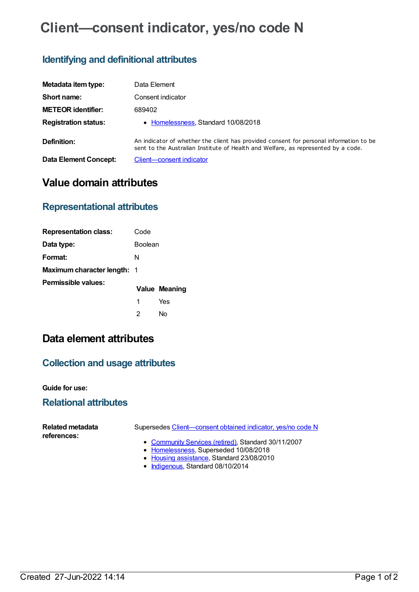# **Client—consent indicator, yes/no code N**

### **Identifying and definitional attributes**

| Metadata item type:         | Data Element                                                                                                                                                                |
|-----------------------------|-----------------------------------------------------------------------------------------------------------------------------------------------------------------------------|
| Short name:                 | Consent indicator                                                                                                                                                           |
| <b>METEOR identifier:</b>   | 689402                                                                                                                                                                      |
| <b>Registration status:</b> | • Homelessness, Standard 10/08/2018                                                                                                                                         |
| Definition:                 | An indicator of whether the client has provided consent for personal information to be<br>sent to the Australian Institute of Health and Welfare, as represented by a code. |
| Data Element Concept:       | Client-consent indicator                                                                                                                                                    |

## **Value domain attributes**

#### **Representational attributes**

| <b>Representation class:</b> | Code    |               |
|------------------------------|---------|---------------|
| Data type:                   | Boolean |               |
| Format:                      | N       |               |
| Maximum character length: 1  |         |               |
| Permissible values:          |         | Value Meaning |
|                              | 1       | Yes           |
|                              | 2       | N٥            |

# **Data element attributes**

#### **Collection and usage attributes**

**Guide for use:**

#### **Relational attributes**

| Related metadata<br>references: | Supersedes Client—consent obtained indicator, yes/no code N                                    |  |
|---------------------------------|------------------------------------------------------------------------------------------------|--|
|                                 | • Community Services (retired), Standard 30/11/2007<br>• Homelessness, Superseded 10/08/2018   |  |
|                                 | $\sim$ Here the contribution of $\Omega$ the dead $\Omega$ $\Omega$ $\Omega$ $\Omega$ $\Omega$ |  |

- Housing [assistance](https://meteor.aihw.gov.au/RegistrationAuthority/11), Standard 23/08/2010
- [Indigenous](https://meteor.aihw.gov.au/RegistrationAuthority/6), Standard 08/10/2014